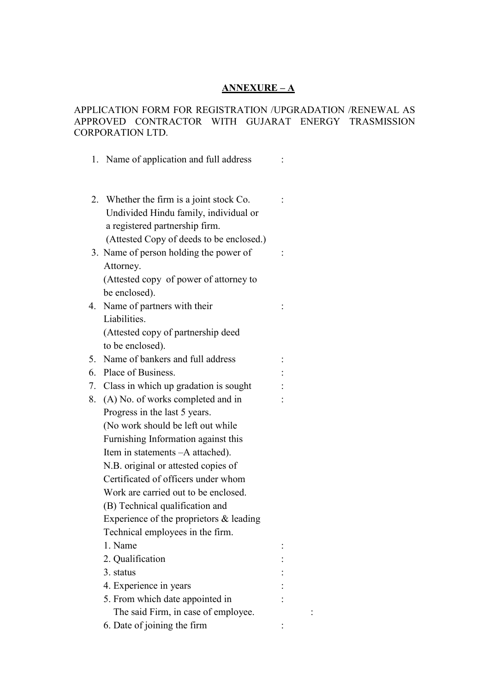## **ANNEXURE – A**

## APPLICATION FORM FOR REGISTRATION /UPGRADATION /RENEWAL AS APPROVED CONTRACTOR WITH GUJARAT ENERGY TRASMISSION CORPORATION LTD.

|    | 1. Name of application and full address                                                                             |  |
|----|---------------------------------------------------------------------------------------------------------------------|--|
|    | 2. Whether the firm is a joint stock Co.<br>Undivided Hindu family, individual or<br>a registered partnership firm. |  |
|    | (Attested Copy of deeds to be enclosed.)<br>3. Name of person holding the power of                                  |  |
|    | Attorney.<br>(Attested copy of power of attorney to<br>be enclosed).                                                |  |
| 4. | Name of partners with their                                                                                         |  |
|    | Liabilities.<br>(Attested copy of partnership deed                                                                  |  |
|    | to be enclosed).                                                                                                    |  |
| 5. | Name of bankers and full address                                                                                    |  |
| 6. | Place of Business.                                                                                                  |  |
| 7. | Class in which up gradation is sought                                                                               |  |
| 8. | (A) No. of works completed and in                                                                                   |  |
|    | Progress in the last 5 years.                                                                                       |  |
|    | (No work should be left out while                                                                                   |  |
|    | Furnishing Information against this                                                                                 |  |
|    | Item in statements $-A$ attached).                                                                                  |  |
|    | N.B. original or attested copies of                                                                                 |  |
|    | Certificated of officers under whom                                                                                 |  |
|    | Work are carried out to be enclosed.                                                                                |  |
|    | (B) Technical qualification and                                                                                     |  |
|    | Experience of the proprietors $\&$ leading                                                                          |  |
|    | Technical employees in the firm.                                                                                    |  |
|    | 1. Name                                                                                                             |  |
|    | 2. Qualification                                                                                                    |  |
|    | 3. status                                                                                                           |  |
|    | 4. Experience in years                                                                                              |  |
|    | 5. From which date appointed in                                                                                     |  |
|    | The said Firm, in case of employee.                                                                                 |  |
|    | 6. Date of joining the firm                                                                                         |  |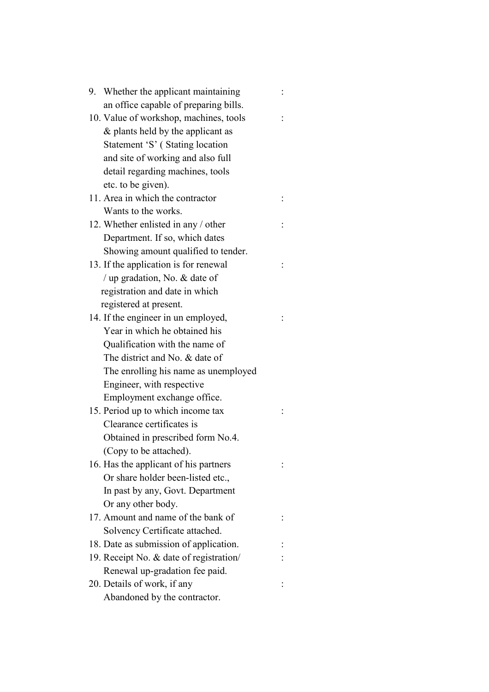| 9. Whether the applicant maintaining    |  |
|-----------------------------------------|--|
| an office capable of preparing bills.   |  |
| 10. Value of workshop, machines, tools  |  |
| $\&$ plants held by the applicant as    |  |
| Statement 'S' (Stating location         |  |
| and site of working and also full       |  |
| detail regarding machines, tools        |  |
| etc. to be given).                      |  |
| 11. Area in which the contractor        |  |
| Wants to the works.                     |  |
| 12. Whether enlisted in any / other     |  |
| Department. If so, which dates          |  |
| Showing amount qualified to tender.     |  |
| 13. If the application is for renewal   |  |
| / up gradation, No. $&$ date of         |  |
| registration and date in which          |  |
| registered at present.                  |  |
| 14. If the engineer in un employed,     |  |
| Year in which he obtained his           |  |
| Qualification with the name of          |  |
| The district and No. & date of          |  |
| The enrolling his name as unemployed    |  |
| Engineer, with respective               |  |
| Employment exchange office.             |  |
| 15. Period up to which income tax       |  |
| Clearance certificates is               |  |
| Obtained in prescribed form No.4.       |  |
| (Copy to be attached).                  |  |
| 16. Has the applicant of his partners   |  |
| Or share holder been-listed etc.,       |  |
| In past by any, Govt. Department        |  |
| Or any other body.                      |  |
| 17. Amount and name of the bank of      |  |
| Solvency Certificate attached.          |  |
| 18. Date as submission of application.  |  |
| 19. Receipt No. & date of registration/ |  |
| Renewal up-gradation fee paid.          |  |
| 20. Details of work, if any             |  |
| Abandoned by the contractor.            |  |
|                                         |  |